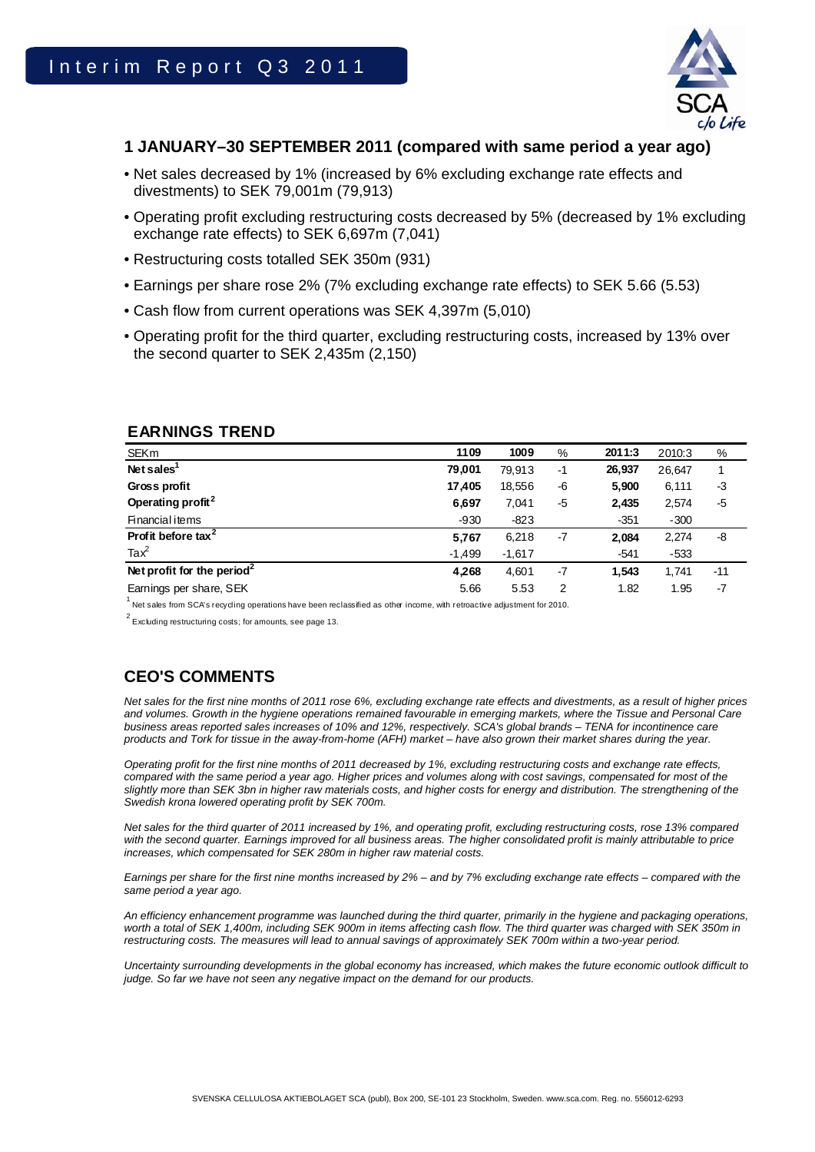

# **1 JANUARY–30 SEPTEMBER 2011 (compared with same period a year ago)**

- Net sales decreased by 1% (increased by 6% excluding exchange rate effects and divestments) to SEK 79,001m (79,913)
- Operating profit excluding restructuring costs decreased by 5% (decreased by 1% excluding exchange rate effects) to SEK 6,697m (7,041)
- Restructuring costs totalled SEK 350m (931)
- Earnings per share rose 2% (7% excluding exchange rate effects) to SEK 5.66 (5.53)
- Cash flow from current operations was SEK 4,397m (5,010)
- Operating profit for the third quarter, excluding restructuring costs, increased by 13% over the second quarter to SEK 2,435m (2,150)

| <b>SEKm</b>                            | 1109     | 1009     | %    | 2011:3 | 2010:3 | %     |
|----------------------------------------|----------|----------|------|--------|--------|-------|
| Net sales <sup>"</sup>                 | 79,001   | 79.913   | $-1$ | 26,937 | 26,647 |       |
| Gross profit                           | 17,405   | 18,556   | -6   | 5,900  | 6,111  | -3    |
| Operating profit <sup>2</sup>          | 6,697    | 7,041    | -5   | 2,435  | 2,574  | $-5$  |
| <b>Financial items</b>                 | $-930$   | $-823$   |      | $-351$ | $-300$ |       |
| Profit before tax <sup>2</sup>         | 5,767    | 6,218    | -7   | 2,084  | 2,274  | -8    |
| $\text{Tax}^2$                         | $-1,499$ | $-1,617$ |      | $-541$ | -533   |       |
| Net profit for the period <sup>2</sup> | 4,268    | 4,601    | $-7$ | 1,543  | 1,741  | $-11$ |
| Earnings per share, SEK                | 5.66     | 5.53     | 2    | 1.82   | 1.95   | $-7$  |

# **EARNINGS TREND**

1 Net sales from SCA's recycling operations have been reclassified as other income, with retroactive adjustment for 2010.

 $2^{2}$  Excluding restructuring costs; for amounts, see page 13.

# **CEO'S COMMENTS**

*Net sales for the first nine months of 2011 rose 6%, excluding exchange rate effects and divestments, as a result of higher prices and volumes. Growth in the hygiene operations remained favourable in emerging markets, where the Tissue and Personal Care business areas reported sales increases of 10% and 12%, respectively. SCA's global brands – TENA for incontinence care products and Tork for tissue in the away-from-home (AFH) market – have also grown their market shares during the year.* 

*Operating profit for the first nine months of 2011 decreased by 1%, excluding restructuring costs and exchange rate effects, compared with the same period a year ago. Higher prices and volumes along with cost savings, compensated for most of the slightly more than SEK 3bn in higher raw materials costs, and higher costs for energy and distribution. The strengthening of the Swedish krona lowered operating profit by SEK 700m.* 

*Net sales for the third quarter of 2011 increased by 1%, and operating profit, excluding restructuring costs, rose 13% compared* with the second quarter. Earnings improved for all business areas. The higher consolidated profit is mainly attributable to price *increases, which compensated for SEK 280m in higher raw material costs.* 

*Earnings per share for the first nine months increased by 2% – and by 7% excluding exchange rate effects – compared with the same period a year ago.* 

*An efficiency enhancement programme was launched during the third quarter, primarily in the hygiene and packaging operations,*  worth a total of SEK 1,400m, including SEK 900m in items affecting cash flow. The third quarter was charged with SEK 350m in restructuring costs. The measures will lead to annual savings of approximately SEK 700m within a two-year period.

*Uncertainty surrounding developments in the global economy has increased, which makes the future economic outlook difficult to judge. So far we have not seen any negative impact on the demand for our products.*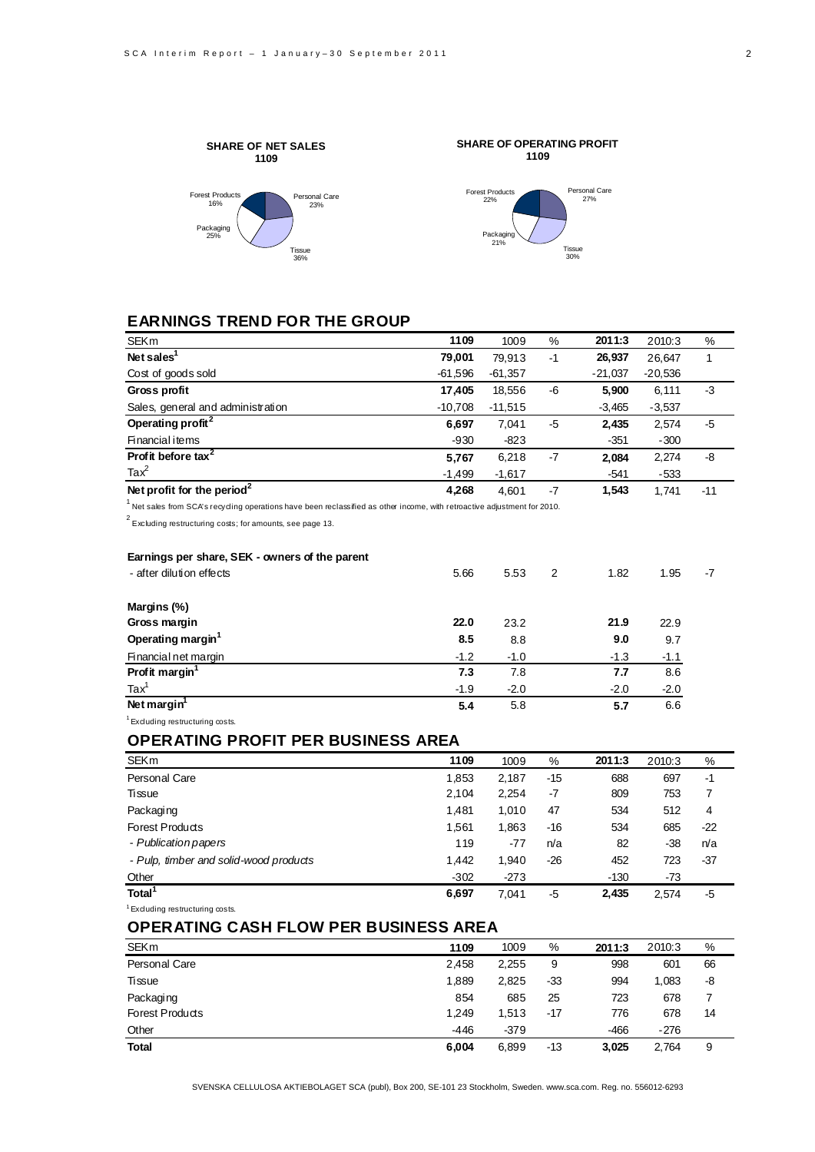Personal Care 27%

Tissue 30%



# **EARNINGS TREND FOR THE GROUP**

| <b>SEKm</b>                            | 1109      | 1009      | %  | 2011:3    | 2010:3    | %     |
|----------------------------------------|-----------|-----------|----|-----------|-----------|-------|
| Net sales $1$                          | 79,001    | 79.913    | -1 | 26,937    | 26.647    |       |
| Cost of goods sold                     | $-61,596$ | $-61,357$ |    | $-21,037$ | $-20,536$ |       |
| <b>Gross profit</b>                    | 17.405    | 18,556    | -6 | 5,900     | 6,111     | -3    |
| Sales, general and administration      | $-10,708$ | $-11,515$ |    | $-3,465$  | $-3,537$  |       |
| Operating profit <sup>2</sup>          | 6,697     | 7,041     | -5 | 2,435     | 2,574     | -5    |
| Financial items                        | $-930$    | $-823$    |    | $-351$    | $-300$    |       |
| Profit before tax <sup>2</sup>         | 5,767     | 6,218     | -7 | 2,084     | 2,274     | -8    |
| Ta $x^2$                               | $-1,499$  | $-1,617$  |    | $-541$    | $-533$    |       |
| Net profit for the period <sup>2</sup> | 4,268     | 4,601     | -7 | 1,543     | 1,741     | $-11$ |
|                                        |           |           |    |           |           |       |

<sup>1</sup> Net sales from SCA's recycling operations have been reclassified as other income, with retroactive adjustment for 2010.

 $2^{2}$  Excluding restructuring costs; for amounts, see page 13.

| Earnings per share, SEK - owners of the parent |        |        |   |        |        |      |
|------------------------------------------------|--------|--------|---|--------|--------|------|
| - after dilution effects                       | 5.66   | 5.53   | 2 | 1.82   | 1.95   | $-7$ |
| Margins (%)                                    |        |        |   |        |        |      |
| Gross margin                                   | 22.0   | 23.2   |   | 21.9   | 22.9   |      |
| Operating margin <sup>1</sup>                  | 8.5    | 8.8    |   | 9.0    | 9.7    |      |
| Financial net margin                           | $-1.2$ | $-1.0$ |   | $-1.3$ | $-1.1$ |      |
| Profit margin <sup>1</sup>                     | 7.3    | 7.8    |   | 7.7    | 8.6    |      |
| $\text{Tax}^1$                                 | $-1.9$ | $-2.0$ |   | $-2.0$ | $-2.0$ |      |
| Net margin <sup>1</sup>                        | 5.4    | 5.8    |   | 5.7    | 6.6    |      |
| <sup>1</sup> Excluding restructuring costs.    |        |        |   |        |        |      |

# **OPERATING PROFIT PER BUSINESS AREA**

| <b>SEKm</b>                                | 1109   | 1009   | %     | 2011:3 | 2010:3 | %     |
|--------------------------------------------|--------|--------|-------|--------|--------|-------|
| Personal Care                              | 1,853  | 2,187  | $-15$ | 688    | 697    | -1    |
| Tissue                                     | 2,104  | 2,254  | -7    | 809    | 753    | 7     |
| Packaging                                  | 1,481  | 1,010  | 47    | 534    | 512    | 4     |
| Forest Products                            | 1,561  | 1,863  | -16   | 534    | 685    | $-22$ |
| - Publication papers                       | 119    | -77    | n/a   | 82     | $-38$  | n/a   |
| - Pulp, timber and solid-wood products     | 1,442  | 1,940  | $-26$ | 452    | 723    | $-37$ |
| Other                                      | $-302$ | $-273$ |       | $-130$ | -73    |       |
| Total <sup>1</sup>                         | 6,697  | 7,041  | -5    | 2,435  | 2,574  | -5    |
| <sup>1</sup> Exduding restructuring costs. |        |        |       |        |        |       |

# **OPERATING CASH FLOW PER BUSINESS AREA**

| <b>SEKm</b>            | 1109  | 1009   | %   | 2011:3 | 2010:3 | %  |
|------------------------|-------|--------|-----|--------|--------|----|
| Personal Care          | 2,458 | 2,255  | 9   | 998    | 601    | 66 |
| Tissue                 | 1,889 | 2,825  | -33 | 994    | 1.083  | -8 |
| Packaging              | 854   | 685    | 25  | 723    | 678    | 7  |
| <b>Forest Products</b> | 1.249 | 1.513  | -17 | 776    | 678    | 14 |
| Other                  | -446  | $-379$ |     | -466   | $-276$ |    |
| <b>Total</b>           | 6,004 | 6,899  | -13 | 3,025  | 2.764  | 9  |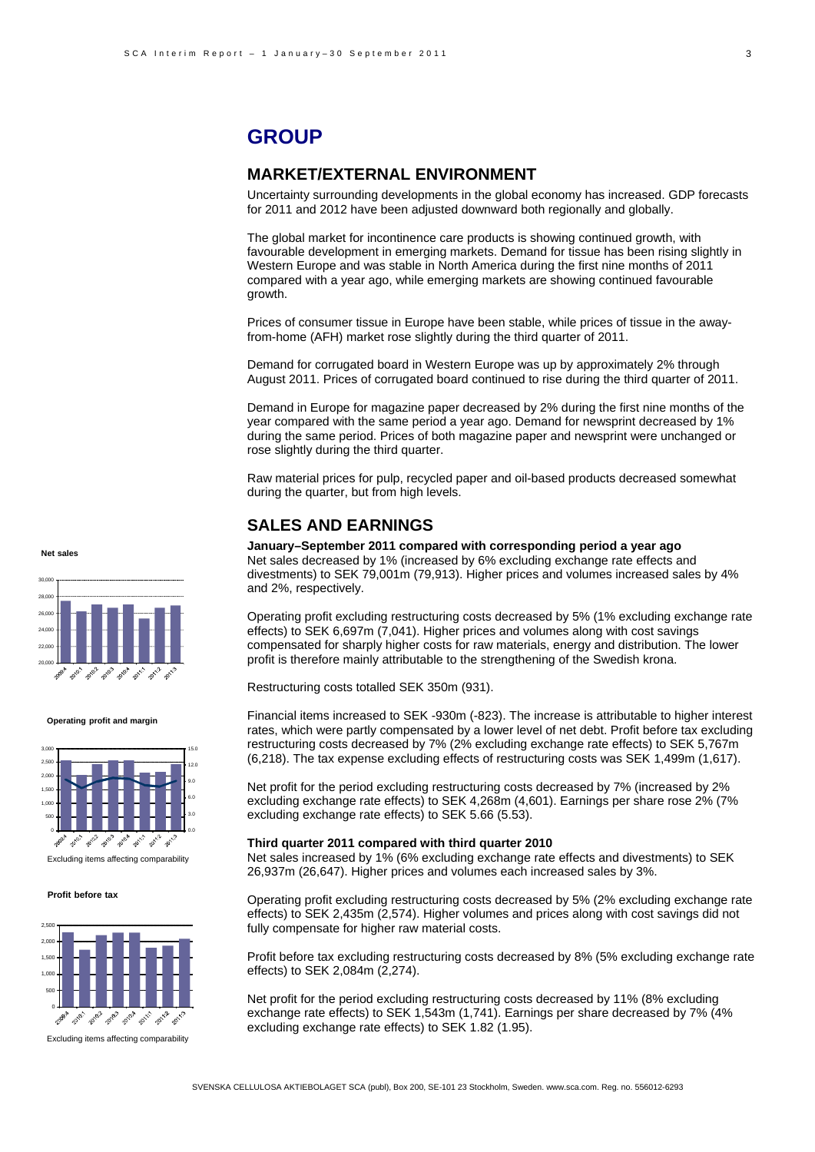# **GROUP**

# **MARKET/EXTERNAL ENVIRONMENT**

Uncertainty surrounding developments in the global economy has increased. GDP forecasts for 2011 and 2012 have been adjusted downward both regionally and globally.

The global market for incontinence care products is showing continued growth, with favourable development in emerging markets. Demand for tissue has been rising slightly in Western Europe and was stable in North America during the first nine months of 2011 compared with a year ago, while emerging markets are showing continued favourable growth.

Prices of consumer tissue in Europe have been stable, while prices of tissue in the awayfrom-home (AFH) market rose slightly during the third quarter of 2011.

Demand for corrugated board in Western Europe was up by approximately 2% through August 2011. Prices of corrugated board continued to rise during the third quarter of 2011.

Demand in Europe for magazine paper decreased by 2% during the first nine months of the year compared with the same period a year ago. Demand for newsprint decreased by 1% during the same period. Prices of both magazine paper and newsprint were unchanged or rose slightly during the third quarter.

Raw material prices for pulp, recycled paper and oil-based products decreased somewhat during the quarter, but from high levels.

## **SALES AND EARNINGS**

**January–September 2011 compared with corresponding period a year ago** Net sales decreased by 1% (increased by 6% excluding exchange rate effects and divestments) to SEK 79,001m (79,913). Higher prices and volumes increased sales by 4% and 2%, respectively.

Operating profit excluding restructuring costs decreased by 5% (1% excluding exchange rate effects) to SEK 6,697m (7,041). Higher prices and volumes along with cost savings compensated for sharply higher costs for raw materials, energy and distribution. The lower profit is therefore mainly attributable to the strengthening of the Swedish krona.

Restructuring costs totalled SEK 350m (931).

Financial items increased to SEK -930m (-823). The increase is attributable to higher interest rates, which were partly compensated by a lower level of net debt. Profit before tax excluding restructuring costs decreased by 7% (2% excluding exchange rate effects) to SEK 5,767m (6,218). The tax expense excluding effects of restructuring costs was SEK 1,499m (1,617).

Net profit for the period excluding restructuring costs decreased by 7% (increased by 2% excluding exchange rate effects) to SEK 4,268m (4,601). Earnings per share rose 2% (7% excluding exchange rate effects) to SEK 5.66 (5.53).

#### **Third quarter 2011 compared with third quarter 2010**

Net sales increased by 1% (6% excluding exchange rate effects and divestments) to SEK 26,937m (26,647). Higher prices and volumes each increased sales by 3%.

Operating profit excluding restructuring costs decreased by 5% (2% excluding exchange rate effects) to SEK 2,435m (2,574). Higher volumes and prices along with cost savings did not fully compensate for higher raw material costs.

Profit before tax excluding restructuring costs decreased by 8% (5% excluding exchange rate effects) to SEK 2,084m (2,274).

Net profit for the period excluding restructuring costs decreased by 11% (8% excluding exchange rate effects) to SEK 1,543m (1,741). Earnings per share decreased by 7% (4% excluding exchange rate effects) to SEK 1.82 (1.95).



**Net sales**

**Operating profit and margin**



Excluding items affecting comparability

#### **Profit before tax**



Excluding items affecting comparability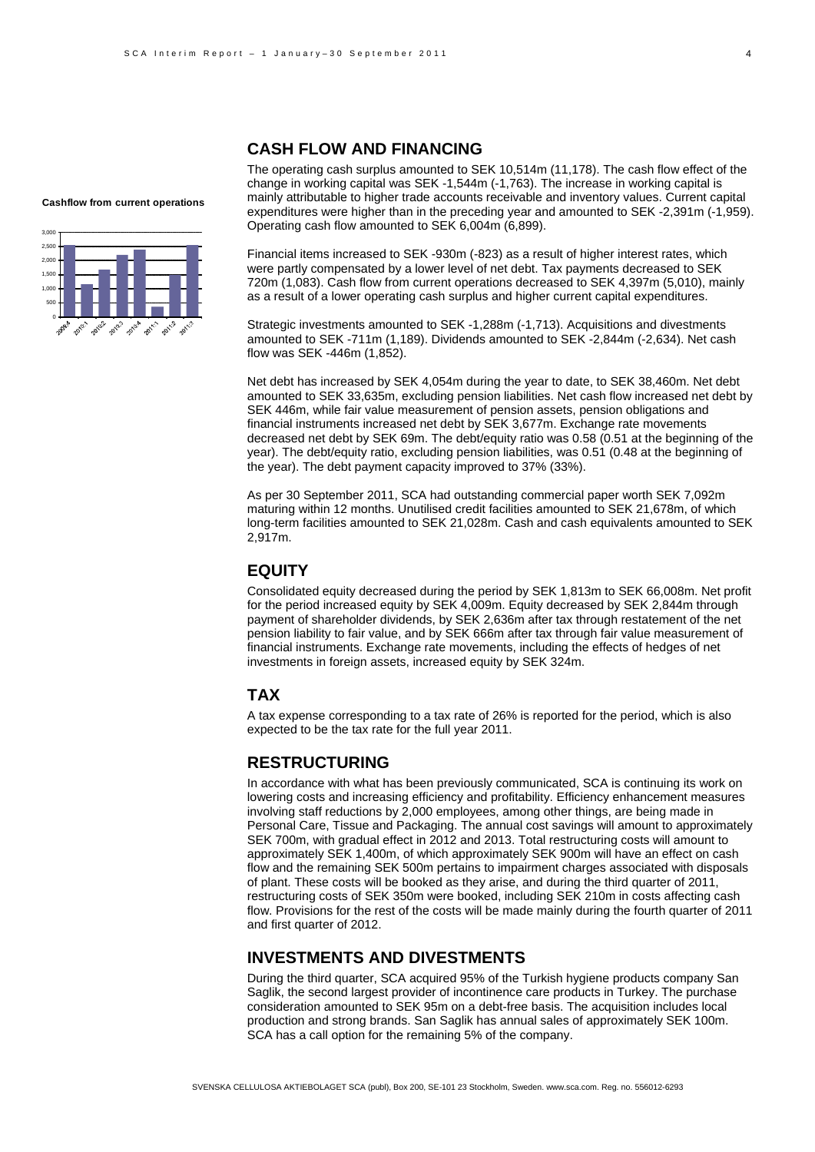# **CASH FLOW AND FINANCING**

The operating cash surplus amounted to SEK 10,514m (11,178). The cash flow effect of the change in working capital was SEK -1,544m (-1,763). The increase in working capital is mainly attributable to higher trade accounts receivable and inventory values. Current capital expenditures were higher than in the preceding year and amounted to SEK -2,391m (-1,959). Operating cash flow amounted to SEK 6,004m (6,899).

Financial items increased to SEK -930m (-823) as a result of higher interest rates, which were partly compensated by a lower level of net debt. Tax payments decreased to SEK 720m (1,083). Cash flow from current operations decreased to SEK 4,397m (5,010), mainly as a result of a lower operating cash surplus and higher current capital expenditures.

Strategic investments amounted to SEK -1,288m (-1,713). Acquisitions and divestments amounted to SEK -711m (1,189). Dividends amounted to SEK -2,844m (-2,634). Net cash flow was SEK -446m (1,852).

Net debt has increased by SEK 4,054m during the year to date, to SEK 38,460m. Net debt amounted to SEK 33,635m, excluding pension liabilities. Net cash flow increased net debt by SEK 446m, while fair value measurement of pension assets, pension obligations and financial instruments increased net debt by SEK 3,677m. Exchange rate movements decreased net debt by SEK 69m. The debt/equity ratio was 0.58 (0.51 at the beginning of the year). The debt/equity ratio, excluding pension liabilities, was 0.51 (0.48 at the beginning of the year). The debt payment capacity improved to 37% (33%).

As per 30 September 2011, SCA had outstanding commercial paper worth SEK 7,092m maturing within 12 months. Unutilised credit facilities amounted to SEK 21,678m, of which long-term facilities amounted to SEK 21,028m. Cash and cash equivalents amounted to SEK 2,917m.

# **EQUITY**

Consolidated equity decreased during the period by SEK 1,813m to SEK 66,008m. Net profit for the period increased equity by SEK 4,009m. Equity decreased by SEK 2,844m through payment of shareholder dividends, by SEK 2,636m after tax through restatement of the net pension liability to fair value, and by SEK 666m after tax through fair value measurement of financial instruments. Exchange rate movements, including the effects of hedges of net investments in foreign assets, increased equity by SEK 324m.

# **TAX**

A tax expense corresponding to a tax rate of 26% is reported for the period, which is also expected to be the tax rate for the full year 2011.

## **RESTRUCTURING**

In accordance with what has been previously communicated, SCA is continuing its work on lowering costs and increasing efficiency and profitability. Efficiency enhancement measures involving staff reductions by 2,000 employees, among other things, are being made in Personal Care, Tissue and Packaging. The annual cost savings will amount to approximately SEK 700m, with gradual effect in 2012 and 2013. Total restructuring costs will amount to approximately SEK 1,400m, of which approximately SEK 900m will have an effect on cash flow and the remaining SEK 500m pertains to impairment charges associated with disposals of plant. These costs will be booked as they arise, and during the third quarter of 2011, restructuring costs of SEK 350m were booked, including SEK 210m in costs affecting cash flow. Provisions for the rest of the costs will be made mainly during the fourth quarter of 2011 and first quarter of 2012.

# **INVESTMENTS AND DIVESTMENTS**

During the third quarter, SCA acquired 95% of the Turkish hygiene products company San Saglik, the second largest provider of incontinence care products in Turkey. The purchase consideration amounted to SEK 95m on a debt-free basis. The acquisition includes local production and strong brands. San Saglik has annual sales of approximately SEK 100m. SCA has a call option for the remaining 5% of the company.

#### **Cashflow from current operations**

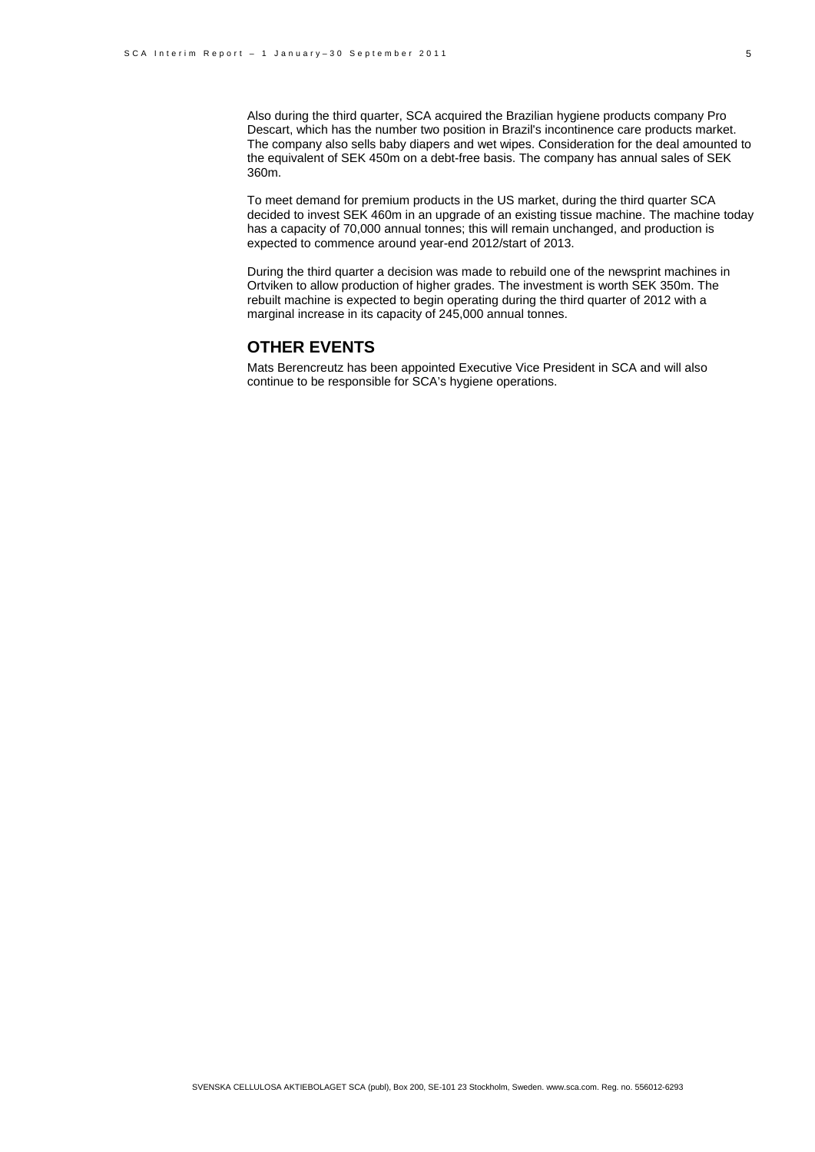Also during the third quarter, SCA acquired the Brazilian hygiene products company Pro Descart, which has the number two position in Brazil's incontinence care products market. The company also sells baby diapers and wet wipes. Consideration for the deal amounted to the equivalent of SEK 450m on a debt-free basis. The company has annual sales of SEK 360m.

To meet demand for premium products in the US market, during the third quarter SCA decided to invest SEK 460m in an upgrade of an existing tissue machine. The machine today has a capacity of 70,000 annual tonnes; this will remain unchanged, and production is expected to commence around year-end 2012/start of 2013.

During the third quarter a decision was made to rebuild one of the newsprint machines in Ortviken to allow production of higher grades. The investment is worth SEK 350m. The rebuilt machine is expected to begin operating during the third quarter of 2012 with a marginal increase in its capacity of 245,000 annual tonnes.

# **OTHER EVENTS**

Mats Berencreutz has been appointed Executive Vice President in SCA and will also continue to be responsible for SCA's hygiene operations.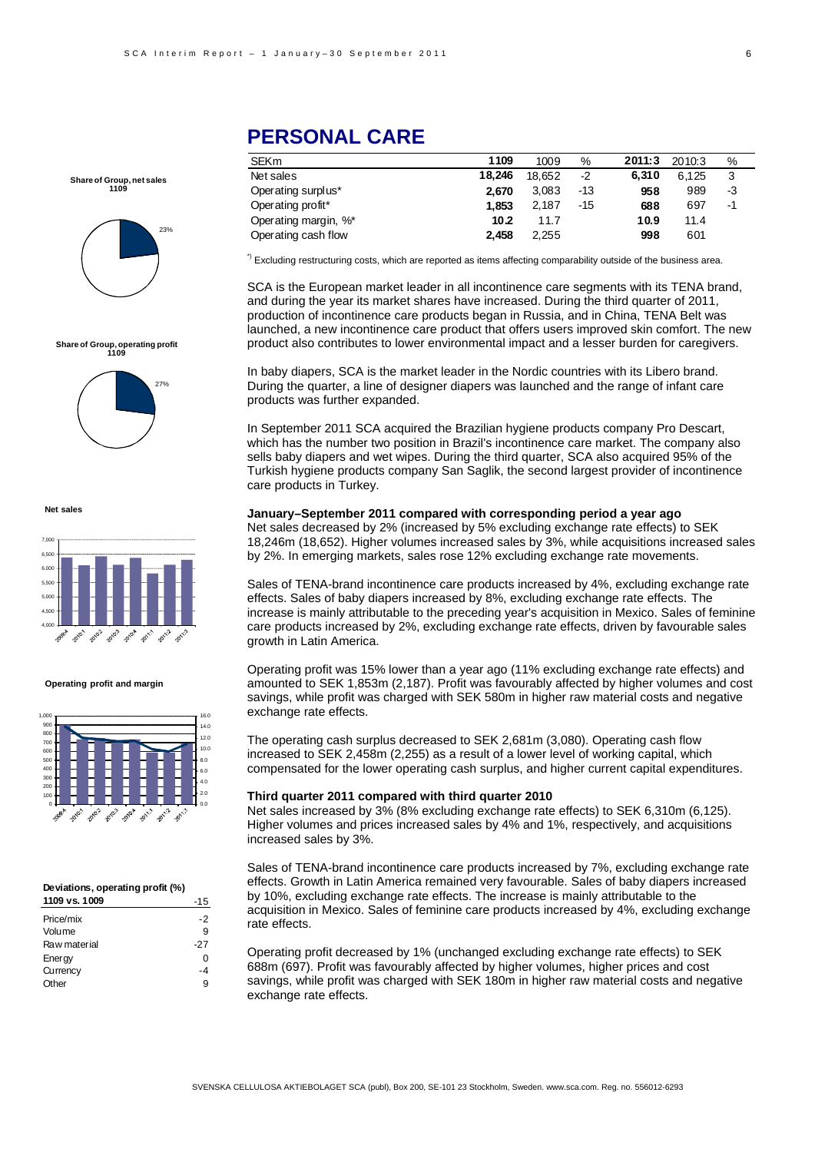**Share of Group, net sales 1109**



# **Share of Group, operating profit 1109**



**Net sales**



#### **Operating profit and margin**



#### **Deviations, operating profit (%)**

| 1109 vs. 1009 | $-15$ |
|---------------|-------|
| Price/mix     | -2    |
| Volume        | 9     |
| Raw material  | $-27$ |
| Energy        | O     |
| Currency      | -4    |
| Other         | g     |

# **PERSONAL CARE**

| SEKm                 | 1109   | 1009   | %     | 2011:3 | 2010:3 | %  |
|----------------------|--------|--------|-------|--------|--------|----|
| Net sales            | 18.246 | 18.652 | $-2$  | 6.310  | 6.125  | 3  |
| Operating surplus*   | 2.670  | 3.083  | $-13$ | 958    | 989    | -3 |
| Operating profit*    | 1.853  | 2.187  | $-15$ | 688    | 697    | -1 |
| Operating margin, %* | 10.2   | 11.7   |       | 10.9   | 11.4   |    |
| Operating cash flow  | 2.458  | 2,255  |       | 998    | 601    |    |

<sup>\*)</sup> Excluding restructuring costs, which are reported as items affecting comparability outside of the business area.

SCA is the European market leader in all incontinence care segments with its TENA brand, and during the year its market shares have increased. During the third quarter of 2011, production of incontinence care products began in Russia, and in China, TENA Belt was launched, a new incontinence care product that offers users improved skin comfort. The new product also contributes to lower environmental impact and a lesser burden for caregivers.

In baby diapers, SCA is the market leader in the Nordic countries with its Libero brand. During the quarter, a line of designer diapers was launched and the range of infant care products was further expanded.

In September 2011 SCA acquired the Brazilian hygiene products company Pro Descart, which has the number two position in Brazil's incontinence care market. The company also sells baby diapers and wet wipes. During the third quarter, SCA also acquired 95% of the Turkish hygiene products company San Saglik, the second largest provider of incontinence care products in Turkey.

**January–September 2011 compared with corresponding period a year ago**  Net sales decreased by 2% (increased by 5% excluding exchange rate effects) to SEK 18,246m (18,652). Higher volumes increased sales by 3%, while acquisitions increased sales by 2%. In emerging markets, sales rose 12% excluding exchange rate movements.

Sales of TENA-brand incontinence care products increased by 4%, excluding exchange rate effects. Sales of baby diapers increased by 8%, excluding exchange rate effects. The increase is mainly attributable to the preceding year's acquisition in Mexico. Sales of feminine care products increased by 2%, excluding exchange rate effects, driven by favourable sales growth in Latin America.

Operating profit was 15% lower than a year ago (11% excluding exchange rate effects) and amounted to SEK 1,853m (2,187). Profit was favourably affected by higher volumes and cost savings, while profit was charged with SEK 580m in higher raw material costs and negative exchange rate effects.

The operating cash surplus decreased to SEK 2,681m (3,080). Operating cash flow increased to SEK 2,458m (2,255) as a result of a lower level of working capital, which compensated for the lower operating cash surplus, and higher current capital expenditures.

#### **Third quarter 2011 compared with third quarter 2010**

Net sales increased by 3% (8% excluding exchange rate effects) to SEK 6,310m (6,125). Higher volumes and prices increased sales by 4% and 1%, respectively, and acquisitions increased sales by 3%.

Sales of TENA-brand incontinence care products increased by 7%, excluding exchange rate effects. Growth in Latin America remained very favourable. Sales of baby diapers increased by 10%, excluding exchange rate effects. The increase is mainly attributable to the acquisition in Mexico. Sales of feminine care products increased by 4%, excluding exchange rate effects.

Operating profit decreased by 1% (unchanged excluding exchange rate effects) to SEK 688m (697). Profit was favourably affected by higher volumes, higher prices and cost savings, while profit was charged with SEK 180m in higher raw material costs and negative exchange rate effects.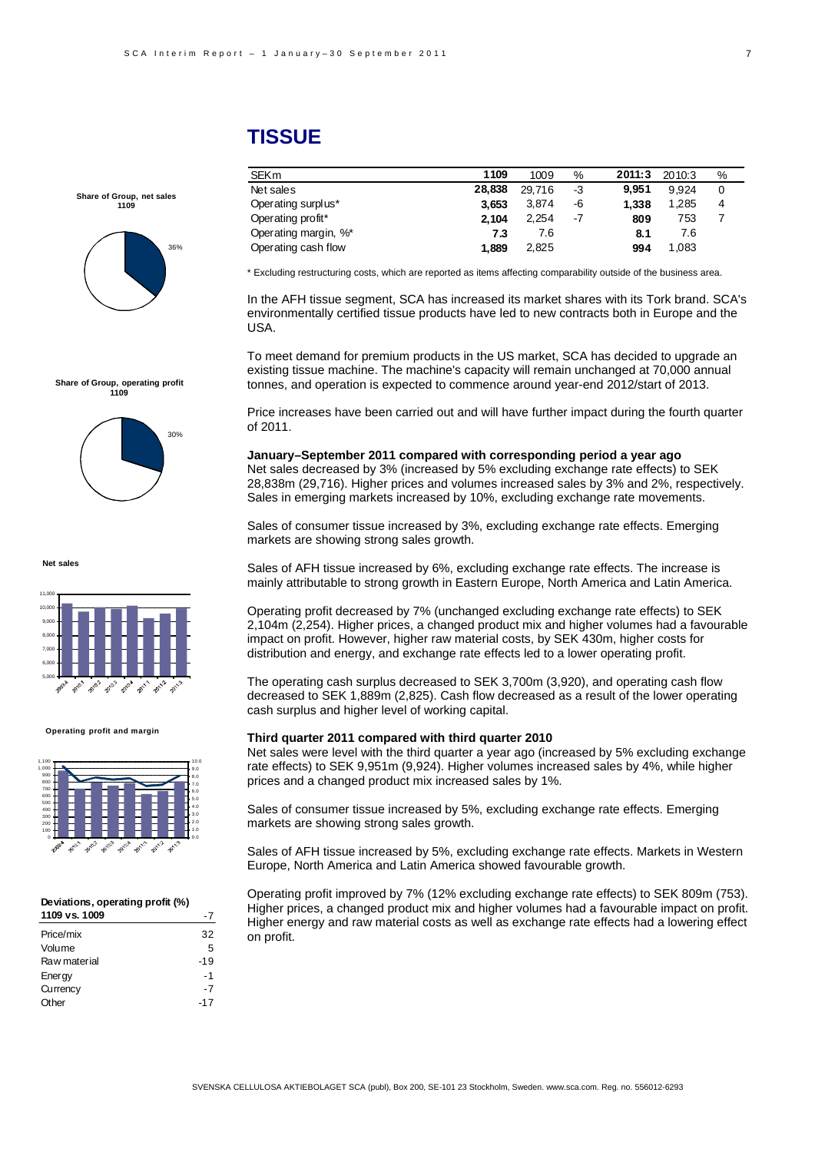# **TISSUE**

**Share of Group, net sales 1109**



**Share of Group, operating profit 1109**



**Net sales**



#### **Operating profit and margin**



#### **Deviations, operating profit (%) 1109 vs. 1009** -7

| Price/mix    | 32    |
|--------------|-------|
| Volume       | 5     |
| Raw material | $-19$ |
| Energy       | - 1   |
| Currency     | -7    |
| Other        | $-17$ |
|              |       |

SEKm **1109** 1009 % **2011:3** 2010:3 % Net sales **28,838** 29,716 -3 **9,951** 9,924 0 Operating surplus\* **3,653** 3,874 -6 **1,338** 1,285 4 Operating profit\* **2,104** 2,254 -7 **809** 753 7 Operating margin, %\* **7.3** 7.6 **8.1** 7.6 Operating cash flow **1,889** 2,825 **994** 1,083

\* Excluding restructuring costs, which are reported as items affecting comparability outside of the business area.

In the AFH tissue segment, SCA has increased its market shares with its Tork brand. SCA's environmentally certified tissue products have led to new contracts both in Europe and the USA.

To meet demand for premium products in the US market, SCA has decided to upgrade an existing tissue machine. The machine's capacity will remain unchanged at 70,000 annual tonnes, and operation is expected to commence around year-end 2012/start of 2013.

Price increases have been carried out and will have further impact during the fourth quarter of 2011.

**January–September 2011 compared with corresponding period a year ago**  Net sales decreased by 3% (increased by 5% excluding exchange rate effects) to SEK 28,838m (29,716). Higher prices and volumes increased sales by 3% and 2%, respectively. Sales in emerging markets increased by 10%, excluding exchange rate movements.

Sales of consumer tissue increased by 3%, excluding exchange rate effects. Emerging markets are showing strong sales growth.

Sales of AFH tissue increased by 6%, excluding exchange rate effects. The increase is mainly attributable to strong growth in Eastern Europe, North America and Latin America.

Operating profit decreased by 7% (unchanged excluding exchange rate effects) to SEK 2,104m (2,254). Higher prices, a changed product mix and higher volumes had a favourable impact on profit. However, higher raw material costs, by SEK 430m, higher costs for distribution and energy, and exchange rate effects led to a lower operating profit.

The operating cash surplus decreased to SEK 3,700m (3,920), and operating cash flow decreased to SEK 1,889m (2,825). Cash flow decreased as a result of the lower operating cash surplus and higher level of working capital.

#### **Third quarter 2011 compared with third quarter 2010**

Net sales were level with the third quarter a year ago (increased by 5% excluding exchange rate effects) to SEK 9,951m (9,924). Higher volumes increased sales by 4%, while higher prices and a changed product mix increased sales by 1%.

Sales of consumer tissue increased by 5%, excluding exchange rate effects. Emerging markets are showing strong sales growth.

Sales of AFH tissue increased by 5%, excluding exchange rate effects. Markets in Western Europe, North America and Latin America showed favourable growth.

Operating profit improved by 7% (12% excluding exchange rate effects) to SEK 809m (753). Higher prices, a changed product mix and higher volumes had a favourable impact on profit. Higher energy and raw material costs as well as exchange rate effects had a lowering effect on profit.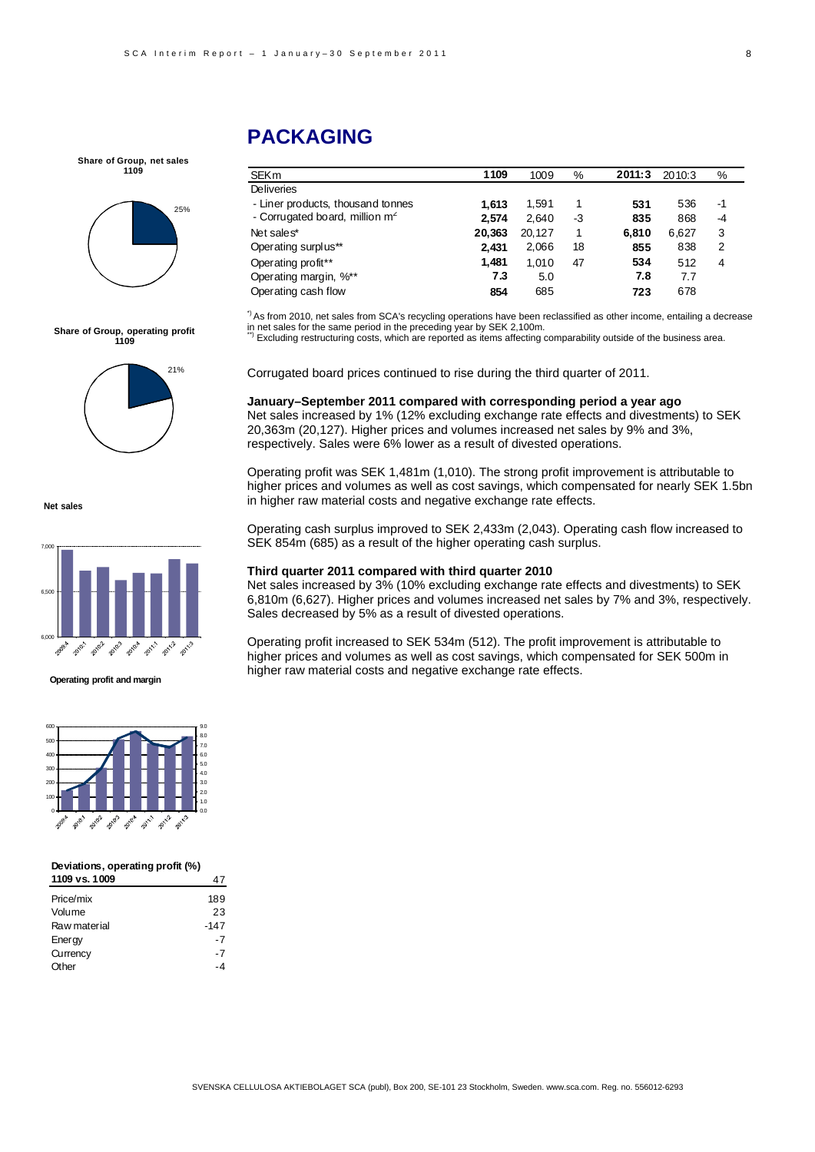**Share of Group, net sales 1109**



**Share of Group, operating profit 1109**

21%

# **PACKAGING**

| <b>SEKm</b>                                | 1109   | 1009   | %  | 2011:3 | 2010:3 | %  |
|--------------------------------------------|--------|--------|----|--------|--------|----|
| <b>Deliveries</b>                          |        |        |    |        |        |    |
| - Liner products, thousand tonnes          | 1.613  | 1.591  | 1  | 531    | 536    | -1 |
| - Corrugated board, million m <sup>2</sup> | 2.574  | 2.640  | -3 | 835    | 868    | -4 |
| Net sales*                                 | 20,363 | 20,127 | 1  | 6.810  | 6,627  | 3  |
| Operating surplus**                        | 2.431  | 2,066  | 18 | 855    | 838    | 2  |
| Operating profit**                         | 1,481  | 1,010  | 47 | 534    | 512    | 4  |
| Operating margin, %**                      | 7.3    | 5.0    |    | 7.8    | 7.7    |    |
| Operating cash flow                        | 854    | 685    |    | 723    | 678    |    |
|                                            |        |        |    |        |        |    |

\*) As from 2010, net sales from SCA's recycling operations have been reclassified as other income, entailing a decrease in net sales for the same period in the preceding year by SEK 2,100m.<br>\*\*) Excluding restructuring costs, which are reported as items affecting comparability outside of the business area.

Corrugated board prices continued to rise during the third quarter of 2011.

#### **January–September 2011 compared with corresponding period a year ago**

Net sales increased by 1% (12% excluding exchange rate effects and divestments) to SEK 20,363m (20,127). Higher prices and volumes increased net sales by 9% and 3%, respectively. Sales were 6% lower as a result of divested operations.

Operating profit was SEK 1,481m (1,010). The strong profit improvement is attributable to higher prices and volumes as well as cost savings, which compensated for nearly SEK 1.5bn in higher raw material costs and negative exchange rate effects.

Operating cash surplus improved to SEK 2,433m (2,043). Operating cash flow increased to SEK 854m (685) as a result of the higher operating cash surplus.

#### **Third quarter 2011 compared with third quarter 2010**

Net sales increased by 3% (10% excluding exchange rate effects and divestments) to SEK 6,810m (6,627). Higher prices and volumes increased net sales by 7% and 3%, respectively. Sales decreased by 5% as a result of divested operations.

Operating profit increased to SEK 534m (512). The profit improvement is attributable to higher prices and volumes as well as cost savings, which compensated for SEK 500m in higher raw material costs and negative exchange rate effects.

**Net sales**



#### **Operating profit and margin**



#### **Deviations, operating profit (%) 1109 vs. 1009** 47

| .            |        |
|--------------|--------|
| Price/mix    | 189    |
| Volume       | 23     |
| Raw material | $-147$ |
| Energy       | -7     |
| Currency     | -7     |
| Other        |        |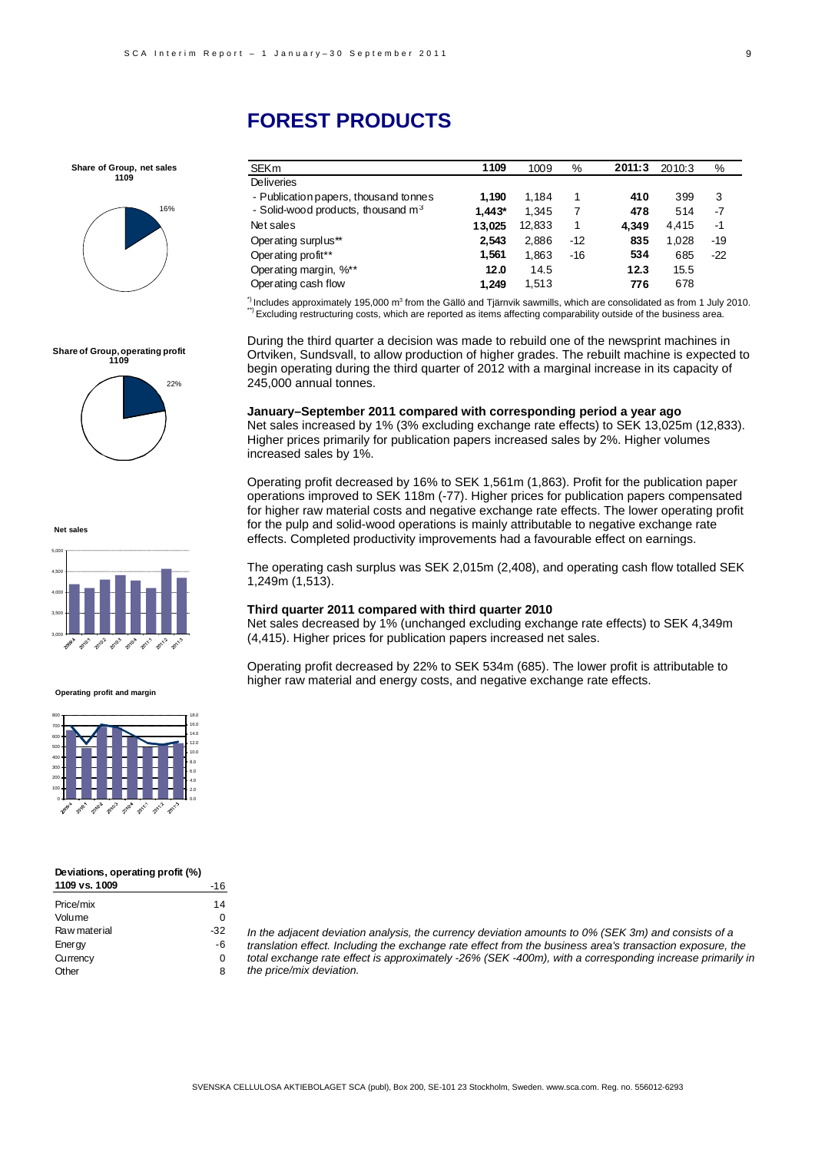**Share of Group, net sales 1109**



**Share of Group, operating profit 1109**

22%

### SEKm **1109** 1009 % **2011:3** 2010:3 % Deliveries - Publication papers, thousand tonnes **1,190** 1,184 1 **410** 399 3 - Solid-wood products, thousand m<sup>3</sup> **1,443\*** 1,345 7 **478** 514 -7 Net sales **13,025** 12,833 1 **4,349** 4,415 -1 Operating surplus\*\* **2,543** 2,886 -12 **835** 1,028 -19 Operating profit\*\* **1,561** 1,863 -16 **534** 685 -22 Operating margin, %\*\* **12.0** 14.5 **12.3** 15.5 Operating cash flow **1,249** 1,513 **776** 678

 $\degree$ ) Includes approximately 195,000 m<sup>3</sup> from the Gällö and Tjärnvik sawmills, which are consolidated as from 1 July 2010. from the Gällem The Gällö and Times are consolided as from 1 July 2010. \*\*\*<br>The Schuding restructuring costs, which are reported as items affecting comparability outside of the business area.

During the third quarter a decision was made to rebuild one of the newsprint machines in Ortviken, Sundsvall, to allow production of higher grades. The rebuilt machine is expected to begin operating during the third quarter of 2012 with a marginal increase in its capacity of 245,000 annual tonnes.

**January–September 2011 compared with corresponding period a year ago**  Net sales increased by 1% (3% excluding exchange rate effects) to SEK 13,025m (12,833). Higher prices primarily for publication papers increased sales by 2%. Higher volumes increased sales by 1%.

Operating profit decreased by 16% to SEK 1,561m (1,863). Profit for the publication paper operations improved to SEK 118m (-77). Higher prices for publication papers compensated for higher raw material costs and negative exchange rate effects. The lower operating profit for the pulp and solid-wood operations is mainly attributable to negative exchange rate effects. Completed productivity improvements had a favourable effect on earnings.

The operating cash surplus was SEK 2,015m (2,408), and operating cash flow totalled SEK 1,249m (1,513).

#### **Third quarter 2011 compared with third quarter 2010**

Net sales decreased by 1% (unchanged excluding exchange rate effects) to SEK 4,349m (4,415). Higher prices for publication papers increased net sales.

Operating profit decreased by 22% to SEK 534m (685). The lower profit is attributable to higher raw material and energy costs, and negative exchange rate effects.

**Net sales**



### **Operating profit and margin**



#### **Deviations, operating profit (%) 1109 vs. 1009** -16

| ,,,,,,,,,,,, |     |
|--------------|-----|
| Price/mix    | 14  |
| Volume       | O   |
| Raw material | -32 |
| Energy       | -6  |
| Currency     | 0   |
| Other        | 8   |

*In the adjacent deviation analysis, the currency deviation amounts to 0% (SEK 3m) and consists of a translation effect. Including the exchange rate effect from the business area's transaction exposure, the total exchange rate effect is approximately -26% (SEK -400m), with a corresponding increase primarily in the price/mix deviation.* 



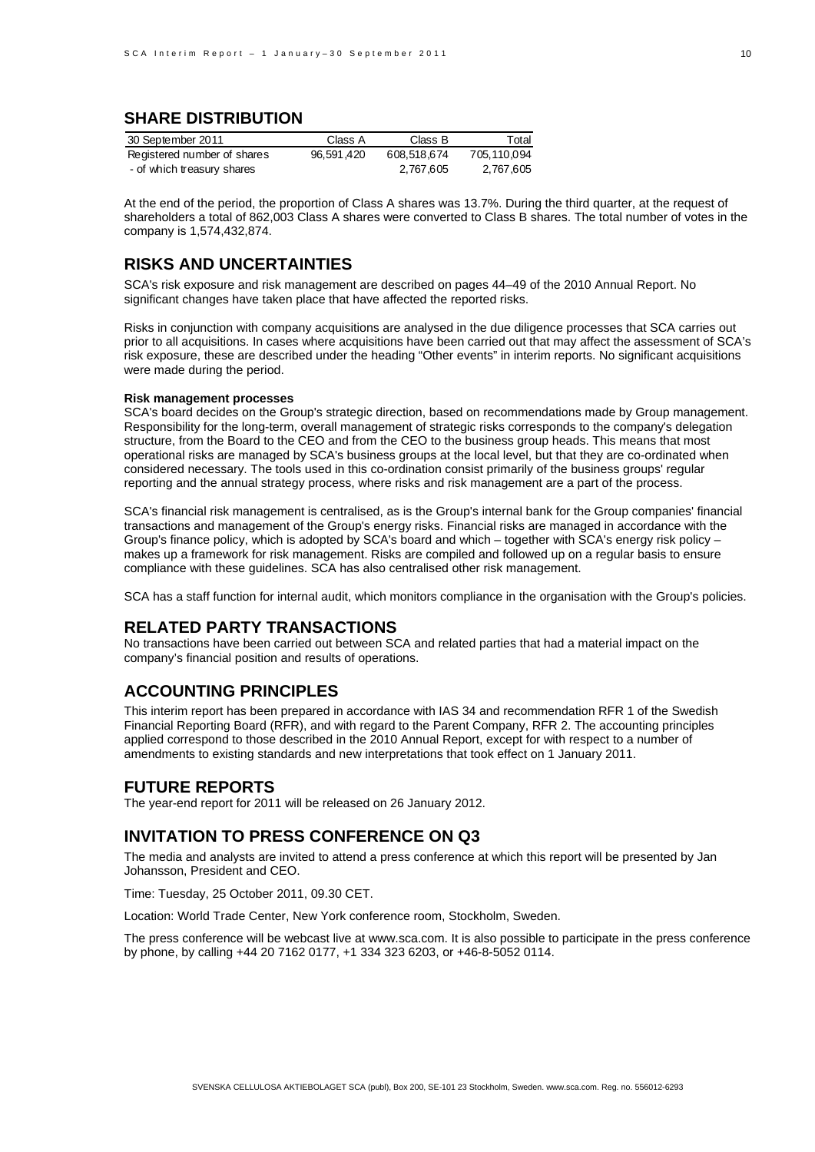# **SHARE DISTRIBUTION**

| 30 September 2011           | Class A    | Class B     | Total       |
|-----------------------------|------------|-------------|-------------|
| Registered number of shares | 96.591.420 | 608.518.674 | 705,110,094 |
| - of which treasury shares  |            | 2,767,605   | 2,767,605   |

At the end of the period, the proportion of Class A shares was 13.7%. During the third quarter, at the request of shareholders a total of 862,003 Class A shares were converted to Class B shares. The total number of votes in the company is 1,574,432,874.

# **RISKS AND UNCERTAINTIES**

SCA's risk exposure and risk management are described on pages 44–49 of the 2010 Annual Report. No significant changes have taken place that have affected the reported risks.

Risks in conjunction with company acquisitions are analysed in the due diligence processes that SCA carries out prior to all acquisitions. In cases where acquisitions have been carried out that may affect the assessment of SCA's risk exposure, these are described under the heading "Other events" in interim reports. No significant acquisitions were made during the period.

#### **Risk management processes**

SCA's board decides on the Group's strategic direction, based on recommendations made by Group management. Responsibility for the long-term, overall management of strategic risks corresponds to the company's delegation structure, from the Board to the CEO and from the CEO to the business group heads. This means that most operational risks are managed by SCA's business groups at the local level, but that they are co-ordinated when considered necessary. The tools used in this co-ordination consist primarily of the business groups' regular reporting and the annual strategy process, where risks and risk management are a part of the process.

SCA's financial risk management is centralised, as is the Group's internal bank for the Group companies' financial transactions and management of the Group's energy risks. Financial risks are managed in accordance with the Group's finance policy, which is adopted by SCA's board and which – together with SCA's energy risk policy – makes up a framework for risk management. Risks are compiled and followed up on a regular basis to ensure compliance with these guidelines. SCA has also centralised other risk management.

SCA has a staff function for internal audit, which monitors compliance in the organisation with the Group's policies.

## **RELATED PARTY TRANSACTIONS**

No transactions have been carried out between SCA and related parties that had a material impact on the company's financial position and results of operations.

## **ACCOUNTING PRINCIPLES**

This interim report has been prepared in accordance with IAS 34 and recommendation RFR 1 of the Swedish Financial Reporting Board (RFR), and with regard to the Parent Company, RFR 2. The accounting principles applied correspond to those described in the 2010 Annual Report, except for with respect to a number of amendments to existing standards and new interpretations that took effect on 1 January 2011.

## **FUTURE REPORTS**

The year-end report for 2011 will be released on 26 January 2012.

# **INVITATION TO PRESS CONFERENCE ON Q3**

The media and analysts are invited to attend a press conference at which this report will be presented by Jan Johansson, President and CEO.

Time: Tuesday, 25 October 2011, 09.30 CET.

Location: World Trade Center, New York conference room, Stockholm, Sweden.

The press conference will be webcast live at www.sca.com. It is also possible to participate in the press conference by phone, by calling +44 20 7162 0177, +1 334 323 6203, or +46-8-5052 0114.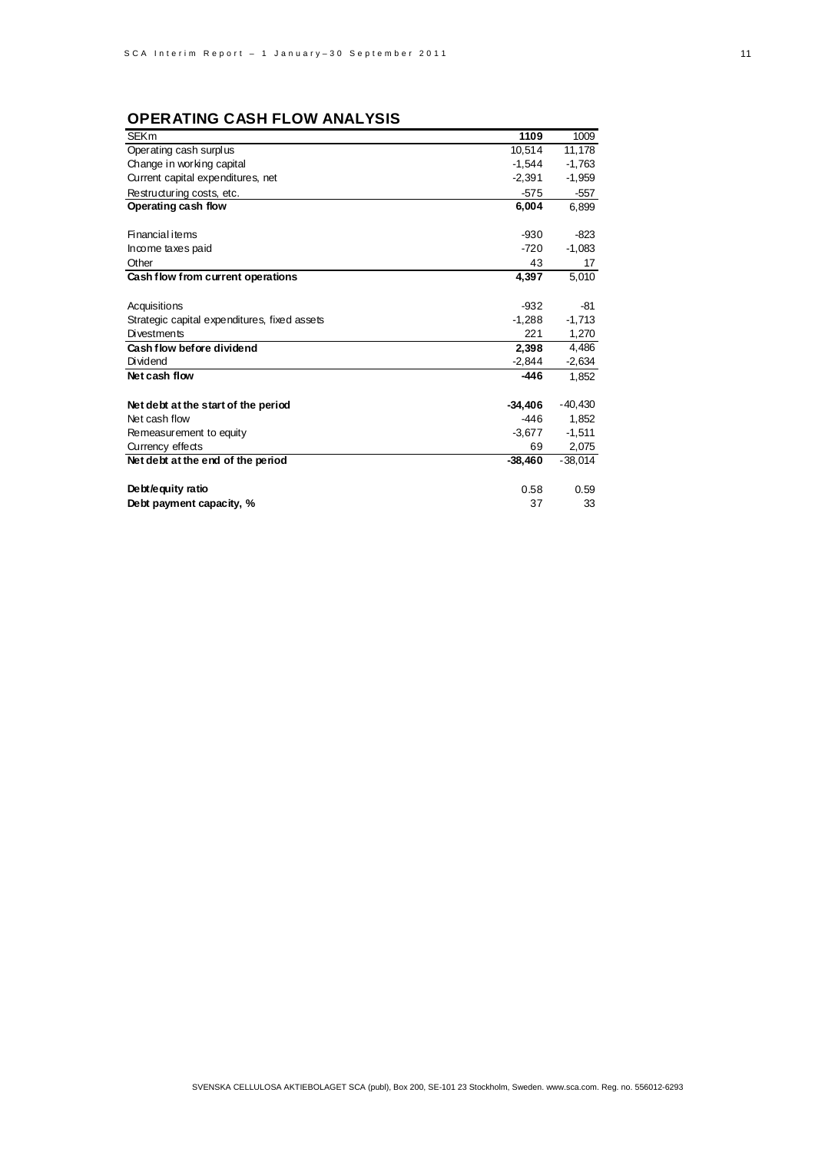# **OPERATING CASH FLOW ANALYSIS**

| <b>SEKm</b>                                  | 1109      | 1009      |
|----------------------------------------------|-----------|-----------|
| Operating cash surplus                       | 10,514    | 11,178    |
| Change in working capital                    | $-1.544$  | $-1,763$  |
| Current capital expenditures, net            | $-2,391$  | $-1,959$  |
| Restructuring costs, etc.                    | $-575$    | $-557$    |
| Operating cash flow                          | 6,004     | 6,899     |
|                                              |           |           |
| Financial items                              | $-930$    | $-823$    |
| Income taxes paid                            | $-720$    | $-1,083$  |
| Other                                        | 43        | 17        |
| Cash flow from current operations            | 4,397     | 5,010     |
|                                              |           |           |
| Acquisitions                                 | $-932$    | $-81$     |
| Strategic capital expenditures, fixed assets | $-1,288$  | $-1,713$  |
| <b>Divestments</b>                           | 221       | 1,270     |
| Cash flow before dividend                    | 2,398     | 4,486     |
| <b>Dividend</b>                              | $-2,844$  | $-2,634$  |
| Net cash flow                                | $-446$    | 1,852     |
|                                              |           |           |
| Net debt at the start of the period          | $-34.406$ | $-40,430$ |
| Net cash flow                                | $-446$    | 1,852     |
| Remeasurement to equity                      | $-3.677$  | $-1,511$  |
| Currency effects                             | 69        | 2,075     |
| Net debt at the end of the period            | $-38.460$ | $-38,014$ |
|                                              |           |           |
| Debt/equity ratio                            | 0.58      | 0.59      |
| Debt payment capacity, %                     | 37        | 33        |
|                                              |           |           |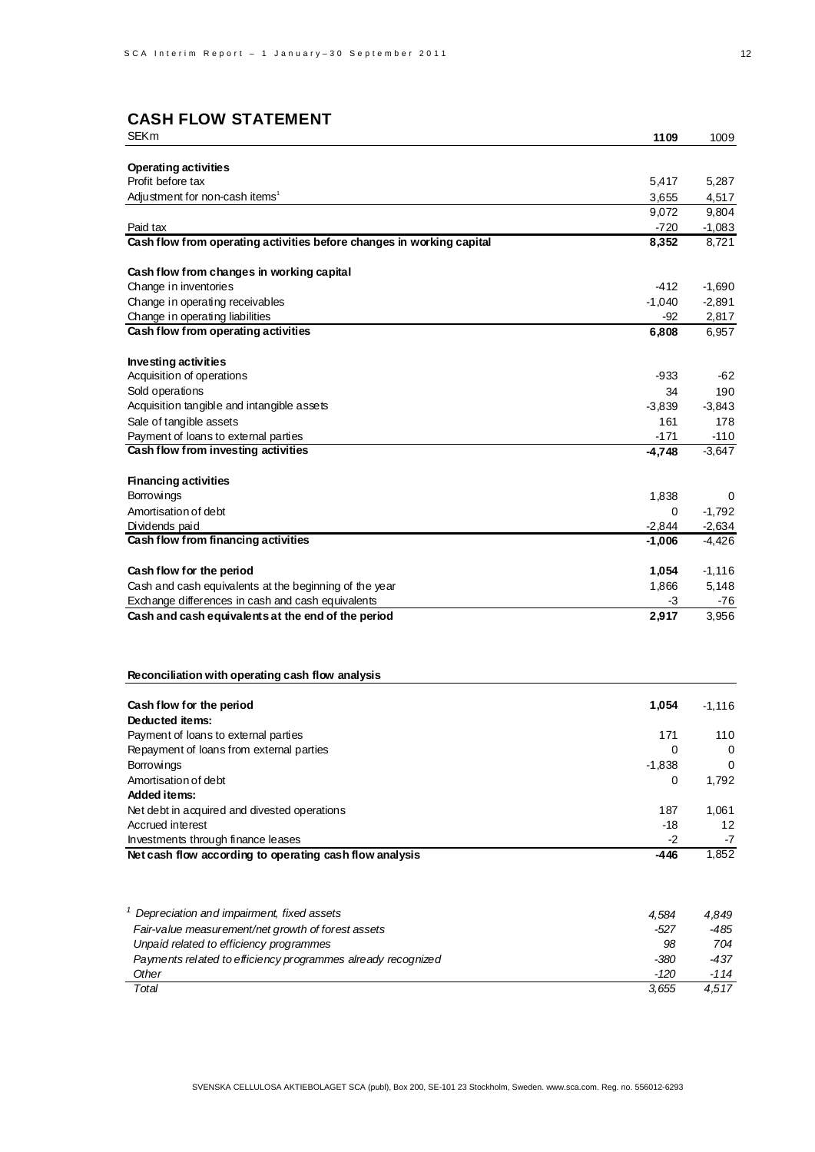# **CASH FLOW STATEMENT**

| <b>SEKm</b>                                                                                             | 1109           | 1009              |
|---------------------------------------------------------------------------------------------------------|----------------|-------------------|
|                                                                                                         |                |                   |
| <b>Operating activities</b>                                                                             |                |                   |
| Profit before tax                                                                                       | 5,417          | 5,287             |
| Adjustment for non-cash items <sup>1</sup>                                                              | 3,655<br>9,072 | 4,517<br>9,804    |
| Paid tax                                                                                                | $-720$         | $-1,083$          |
| Cash flow from operating activities before changes in working capital                                   | 8,352          | 8,721             |
|                                                                                                         |                |                   |
| Cash flow from changes in working capital                                                               |                |                   |
| Change in inventories                                                                                   | -412           | $-1,690$          |
| Change in operating receivables                                                                         | $-1,040$       | $-2,891$<br>2,817 |
| Change in operating liabilities<br>Cash flow from operating activities                                  | $-92$<br>6,808 | 6,957             |
|                                                                                                         |                |                   |
| Investing activities                                                                                    |                |                   |
| Acquisition of operations                                                                               | -933           | -62               |
| Sold operations                                                                                         | 34             | 190               |
| Acquisition tangible and intangible assets                                                              | $-3,839$       | $-3,843$          |
| Sale of tangible assets                                                                                 | 161            | 178               |
| Payment of loans to external parties                                                                    | $-171$         | $-110$            |
| Cash flow from investing activities                                                                     | -4,748         | $-3,647$          |
| <b>Financing activities</b>                                                                             |                |                   |
| <b>Borrowings</b>                                                                                       | 1,838          | 0                 |
| Amortisation of debt                                                                                    | 0              | $-1,792$          |
| Dividends paid                                                                                          | $-2,844$       | $-2,634$          |
| Cash flow from financing activities                                                                     | $-1,006$       | $-4,426$          |
|                                                                                                         |                |                   |
| Cash flow for the period                                                                                | 1,054          | $-1,116$          |
| Cash and cash equivalents at the beginning of the year                                                  | 1,866          | 5,148             |
| Exchange differences in cash and cash equivalents<br>Cash and cash equivalents at the end of the period | -3<br>2,917    | -76<br>3,956      |
|                                                                                                         |                |                   |
|                                                                                                         |                |                   |
|                                                                                                         |                |                   |
| Reconciliation with operating cash flow analysis                                                        |                |                   |
| Cash flow for the period                                                                                | 1,054          | $-1,116$          |
| Deducted items:                                                                                         |                |                   |
| Payment of loans to external parties                                                                    | 171            | 110               |
| Repayment of loans from external parties                                                                | 0              | $\mathbf 0$       |
| <b>Borrowings</b>                                                                                       | $-1,838$       | 0                 |
| Amortisation of debt                                                                                    | 0              | 1,792             |
| <b>Added items:</b>                                                                                     |                |                   |
| Net debt in acquired and divested operations<br>Accrued interest                                        | 187<br>-18     | 1,061<br>12       |
| Investments through finance leases                                                                      | $-2$           | -7                |
| Net cash flow according to operating cash flow analysis                                                 | $-446$         | 1,852             |
|                                                                                                         |                |                   |
| <sup>1</sup> Depreciation and impairment, fixed assets                                                  | 4,584          | 4,849             |
| Fair-value measurement/net growth of forest assets                                                      | $-527$         | -485              |
| Unpaid related to efficiency programmes                                                                 | 98             | 704               |
| Payments related to efficiency programmes already recognized                                            | -380           | $-437$            |
| Other                                                                                                   | $-120$         | $-114$            |
| Total                                                                                                   | 3,655          | 4,517             |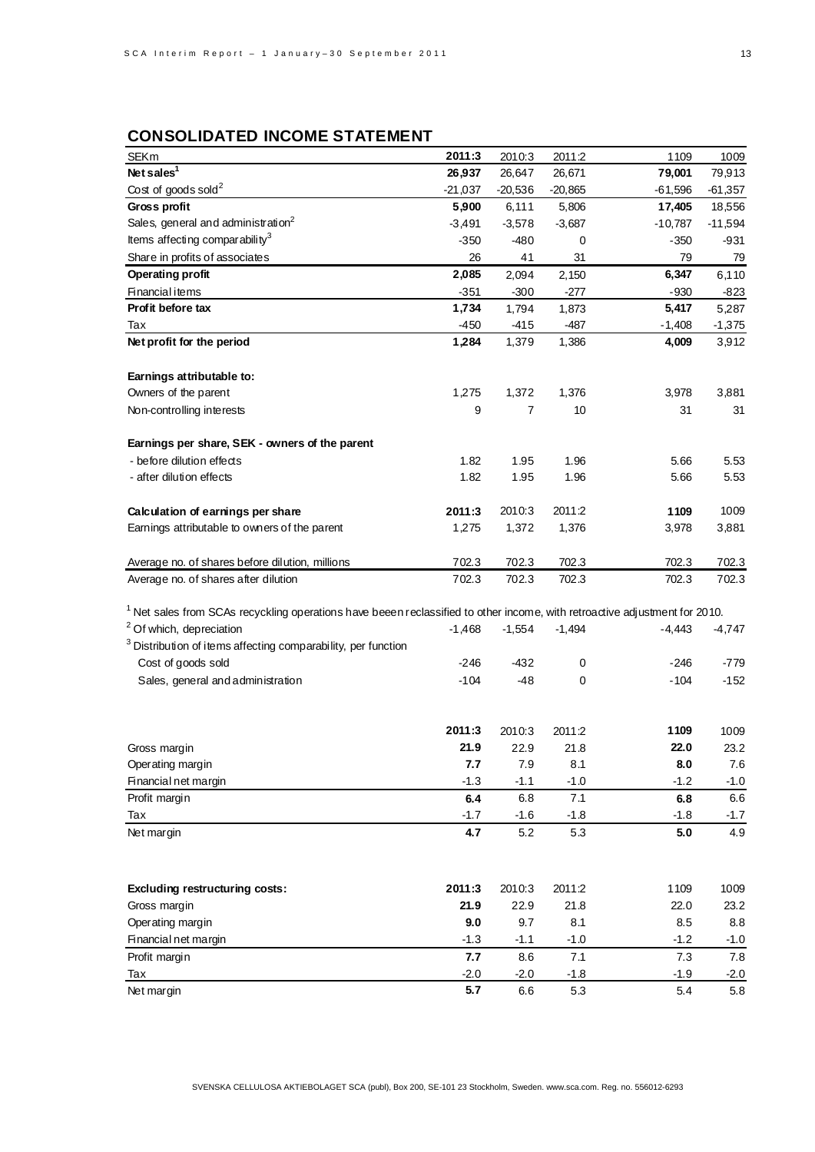# **CONSOLIDATED INCOME STATEMENT**

| <b>SEKm</b>                                                                                                                           | 2011:3        | 2010:3    | 2011:2    | 1109      | 1009      |
|---------------------------------------------------------------------------------------------------------------------------------------|---------------|-----------|-----------|-----------|-----------|
| Net sales <sup>1</sup>                                                                                                                | 26,937        | 26,647    | 26,671    | 79,001    | 79,913    |
| Cost of goods sold <sup>2</sup>                                                                                                       | $-21,037$     | $-20,536$ | $-20,865$ | $-61,596$ | $-61,357$ |
| Gross profit                                                                                                                          | 5,900         | 6,111     | 5,806     | 17,405    | 18,556    |
| Sales, general and administration <sup>2</sup>                                                                                        | $-3,491$      | $-3,578$  | $-3,687$  | $-10,787$ | $-11,594$ |
| Items affecting comparability <sup>3</sup>                                                                                            | $-350$        | $-480$    | 0         | -350      | -931      |
| Share in profits of associates                                                                                                        | 26            | 41        | 31        | 79        | <u>79</u> |
| <b>Operating profit</b>                                                                                                               | 2,085         | 2,094     | 2,150     | 6,347     | 6,110     |
| <b>Financial items</b>                                                                                                                | $-351$        | $-300$    | $-277$    | $-930$    | $-823$    |
| Profit before tax                                                                                                                     | 1,734         | 1,794     | 1,873     | 5,417     | 5,287     |
| Тах                                                                                                                                   | $-450$        | $-415$    | $-487$    | $-1,408$  | $-1,375$  |
| Net profit for the period                                                                                                             | 1,284         | 1,379     | 1,386     | 4,009     | 3,912     |
|                                                                                                                                       |               |           |           |           |           |
| Earnings attributable to:                                                                                                             |               |           |           |           |           |
| Owners of the parent                                                                                                                  | 1,275         | 1,372     | 1,376     | 3,978     | 3,881     |
| Non-controlling interests                                                                                                             | 9             | 7         | 10        | 31        | 31        |
|                                                                                                                                       |               |           |           |           |           |
| Earnings per share, SEK - owners of the parent                                                                                        |               |           |           |           |           |
| - before dilution effects                                                                                                             | 1.82          | 1.95      | 1.96      | 5.66      | 5.53      |
| - after dilution effects                                                                                                              | 1.82          | 1.95      | 1.96      | 5.66      | 5.53      |
|                                                                                                                                       |               |           |           |           |           |
| Calculation of earnings per share                                                                                                     | 2011:3        | 2010:3    | 2011:2    | 1109      | 1009      |
| Earnings attributable to owners of the parent                                                                                         | 1,275         | 1,372     | 1,376     | 3,978     | 3,881     |
|                                                                                                                                       |               |           |           |           |           |
| Average no. of shares before dilution, millions                                                                                       | 702.3         | 702.3     | 702.3     | 702.3     | 702.3     |
| Average no. of shares after dilution                                                                                                  | 702.3         | 702.3     | 702.3     | 702.3     | 702.3     |
|                                                                                                                                       |               |           |           |           |           |
| <sup>1</sup> Net sales from SCAs recyckling operations have beeen reclassified to other income, with retroactive adjustment for 2010. |               |           |           |           |           |
| <sup>2</sup> Of which, depreciation                                                                                                   | $-1,468$      | $-1,554$  | $-1,494$  | $-4,443$  | $-4,747$  |
| <sup>3</sup> Distribution of items affecting comparability, per function                                                              |               |           |           |           |           |
| Cost of goods sold                                                                                                                    | $-246$        | $-432$    | 0         | -246      | $-779$    |
| Sales, general and administration                                                                                                     | $-104$        | $-48$     | 0         | $-104$    | $-152$    |
|                                                                                                                                       |               |           |           |           |           |
|                                                                                                                                       |               |           |           |           |           |
|                                                                                                                                       | 2011:3        | 2010:3    | 2011:2    | 1109      | 1009      |
| Gross margin                                                                                                                          | 21.9          | 22.9      | 21.8      | 22.0      | 23.2      |
| Operating margin                                                                                                                      | 7.7           | 7.9       | 8.1       | 8.0       | $7.6\,$   |
| Financial net margin                                                                                                                  | $-1.3$        | $-1.1$    | $-1.0$    | $-1.2$    | $-1.0$    |
| Profit margin                                                                                                                         | 6.4           | 6.8       | $7.1$     | 6.8       | 6.6       |
| Tax                                                                                                                                   | $-1.7$        | $-1.6$    | $-1.8$    | $-1.8$    | $-1.7$    |
| Net margin                                                                                                                            | 4.7           | $5.2\,$   | 5.3       | 5.0       | 4.9       |
|                                                                                                                                       |               |           |           |           |           |
| <b>Excluding restructuring costs:</b>                                                                                                 | 2011:3        | 2010:3    | 2011:2    | 1109      | 1009      |
| Gross margin                                                                                                                          | 21.9          | 22.9      | 21.8      | 22.0      | 23.2      |
| Operating margin                                                                                                                      | 9.0           | 9.7       | 8.1       | 8.5       | 8.8       |
| Financial net margin                                                                                                                  | $-1.3$        | $-1.1$    | $-1.0$    | $-1.2$    | $-1.0$    |
| Profit margin                                                                                                                         | 7.7           | 8.6       | 7.1       | 7.3       | 7.8       |
|                                                                                                                                       |               |           |           |           |           |
| Tax                                                                                                                                   | $-2.0$<br>5.7 | $-2.0$    | $-1.8$    | $-1.9$    | $-2.0$    |
| Net margin                                                                                                                            |               | 6.6       | 5.3       | 5.4       | 5.8       |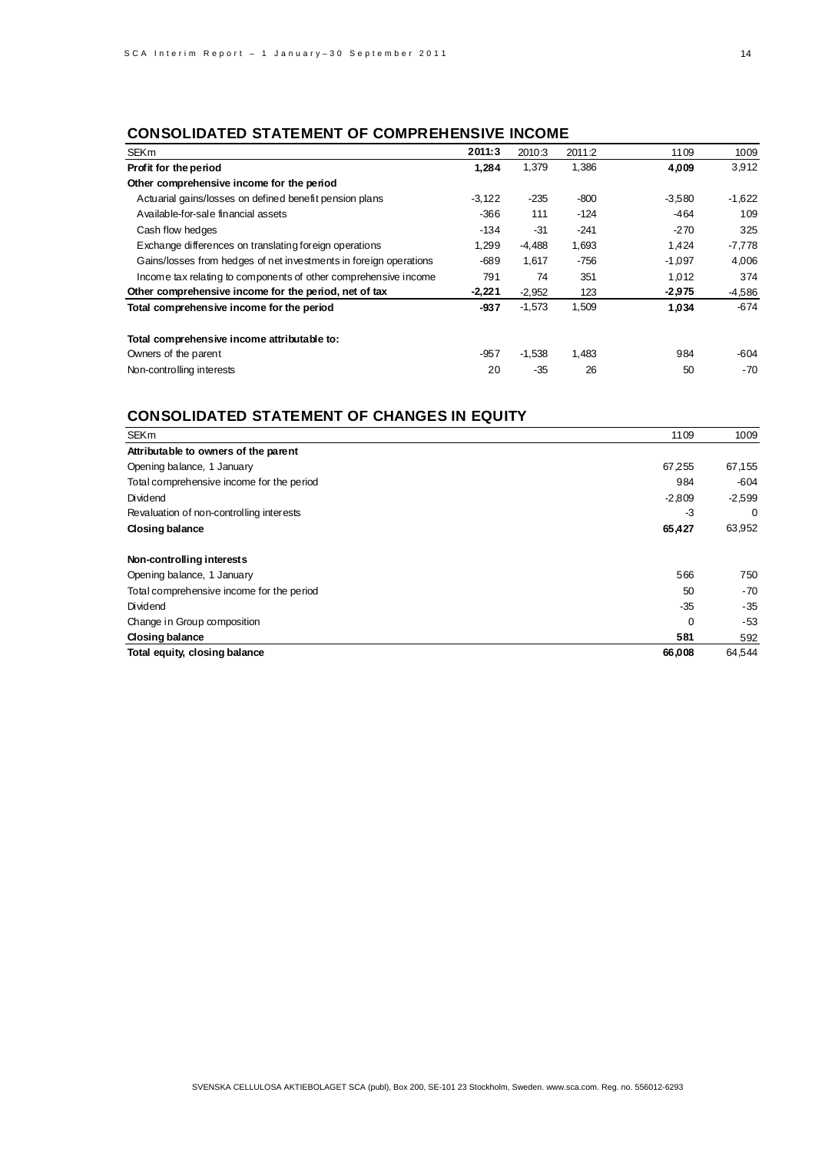# **CONSOLIDATED STATEMENT OF COMPREHENSIVE INCOME**

| <b>SEKm</b>                                                       | 2011:3   | 2010:3   | 2011:2 | 1109     | 1009     |
|-------------------------------------------------------------------|----------|----------|--------|----------|----------|
| Profit for the period                                             | 1,284    | 1,379    | 1,386  | 4,009    | 3,912    |
| Other comprehensive income for the period                         |          |          |        |          |          |
| Actuarial gains/losses on defined benefit pension plans           | $-3.122$ | $-235$   | -800   | $-3,580$ | $-1,622$ |
| Available-for-sale financial assets                               | $-366$   | 111      | $-124$ | $-464$   | 109      |
| Cash flow hedges                                                  | $-134$   | $-31$    | $-241$ | $-270$   | 325      |
| Exchange differences on translating for eign operations           | 1,299    | $-4,488$ | 1,693  | 1,424    | $-7,778$ |
| Gains/losses from hedges of net investments in foreign operations | $-689$   | 1,617    | $-756$ | $-1,097$ | 4.006    |
| Income tax relating to components of other comprehensive income   | 791      | 74       | 351    | 1,012    | 374      |
| Other comprehensive income for the period, net of tax             | $-2,221$ | $-2,952$ | 123    | $-2,975$ | $-4,586$ |
| Total comprehensive income for the period                         | $-937$   | $-1,573$ | 1,509  | 1,034    | $-674$   |
| Total comprehensive income attributable to:                       |          |          |        |          |          |
| Owners of the parent                                              | $-957$   | $-1,538$ | 1,483  | 984      | -604     |
| Non-controlling interests                                         | 20       | $-35$    | 26     | 50       | $-70$    |

# **CONSOLIDATED STATEMENT OF CHANGES IN EQUITY**

| <b>SEKm</b>                               | 1109     | 1009     |
|-------------------------------------------|----------|----------|
| Attributable to owners of the parent      |          |          |
| Opening balance, 1 January                | 67,255   | 67,155   |
| Total comprehensive income for the period | 984      | $-604$   |
| Dividend                                  | $-2,809$ | $-2,599$ |
| Revaluation of non-controlling interests  | -3       | 0        |
| <b>Closing balance</b>                    | 65,427   | 63,952   |
| Non-controlling interests                 |          |          |
| Opening balance, 1 January                | 566      | 750      |
| Total comprehensive income for the period | 50       | $-70$    |
| Dividend                                  | $-35$    | $-35$    |
| Change in Group composition               | $\Omega$ | -53      |
| Closing balance                           | 581      | 592      |
| Total equity, closing balance             | 66,008   | 64,544   |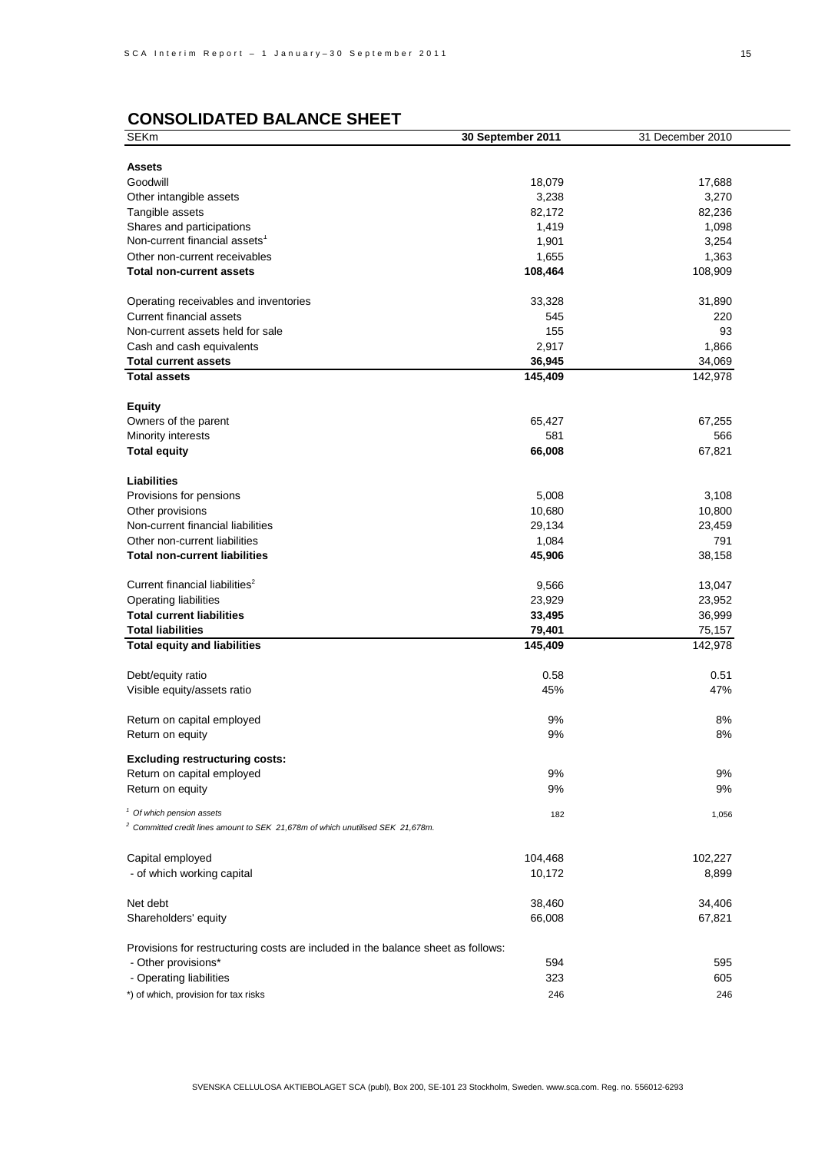# **CONSOLIDATED BALANCE SHEET**

| <b>SEKm</b>                                                                                | 30 September 2011 | 31 December 2010 |
|--------------------------------------------------------------------------------------------|-------------------|------------------|
|                                                                                            |                   |                  |
| <b>Assets</b>                                                                              |                   |                  |
| Goodwill                                                                                   | 18,079            | 17,688           |
| Other intangible assets                                                                    | 3,238             | 3,270            |
| Tangible assets                                                                            | 82,172            | 82,236           |
| Shares and participations                                                                  | 1,419             | 1,098            |
| Non-current financial assets <sup>1</sup>                                                  |                   |                  |
|                                                                                            | 1,901             | 3,254            |
| Other non-current receivables                                                              | 1,655             | 1,363            |
| <b>Total non-current assets</b>                                                            | 108,464           | 108,909          |
|                                                                                            |                   |                  |
| Operating receivables and inventories                                                      | 33,328            | 31,890           |
| <b>Current financial assets</b>                                                            | 545               | 220              |
| Non-current assets held for sale                                                           | 155               | 93               |
| Cash and cash equivalents                                                                  | 2,917             | 1,866            |
| <b>Total current assets</b>                                                                | 36,945            | 34,069           |
| <b>Total assets</b>                                                                        | 145,409           | 142,978          |
|                                                                                            |                   |                  |
| <b>Equity</b>                                                                              |                   |                  |
|                                                                                            |                   |                  |
| Owners of the parent                                                                       | 65,427            | 67,255           |
| Minority interests                                                                         | 581               | 566              |
| <b>Total equity</b>                                                                        | 66,008            | 67,821           |
|                                                                                            |                   |                  |
| <b>Liabilities</b>                                                                         |                   |                  |
| Provisions for pensions                                                                    | 5,008             | 3,108            |
| Other provisions                                                                           | 10,680            | 10,800           |
| Non-current financial liabilities                                                          | 29,134            | 23,459           |
| Other non-current liabilities                                                              | 1,084             | 791              |
| <b>Total non-current liabilities</b>                                                       | 45,906            | 38,158           |
|                                                                                            |                   |                  |
| Current financial liabilities <sup>2</sup>                                                 | 9,566             | 13,047           |
|                                                                                            |                   |                  |
| <b>Operating liabilities</b>                                                               | 23,929            | 23,952           |
| <b>Total current liabilities</b>                                                           | 33,495            | 36,999           |
| <b>Total liabilities</b>                                                                   | 79,401            | 75,157           |
| <b>Total equity and liabilities</b>                                                        | 145,409           | 142,978          |
|                                                                                            |                   |                  |
| Debt/equity ratio                                                                          | 0.58              | 0.51             |
| Visible equity/assets ratio                                                                | 45%               | 47%              |
|                                                                                            |                   |                  |
| Return on capital employed                                                                 | 9%                | 8%               |
| Return on equity                                                                           | 9%                | 8%               |
|                                                                                            |                   |                  |
| <b>Excluding restructuring costs:</b>                                                      |                   |                  |
| Return on capital employed                                                                 | 9%                | 9%               |
| Return on equity                                                                           | 9%                | 9%               |
|                                                                                            |                   |                  |
| <sup>1</sup> Of which pension assets                                                       | 182               | 1,056            |
| <sup>2</sup> Committed credit lines amount to SEK 21,678m of which unutilised SEK 21,678m. |                   |                  |
|                                                                                            |                   |                  |
| Capital employed                                                                           | 104,468           | 102,227          |
| - of which working capital                                                                 | 10,172            | 8,899            |
|                                                                                            |                   |                  |
| Net debt                                                                                   | 38,460            | 34,406           |
| Shareholders' equity                                                                       | 66,008            | 67,821           |
|                                                                                            |                   |                  |
|                                                                                            |                   |                  |
| Provisions for restructuring costs are included in the balance sheet as follows:           |                   |                  |
| - Other provisions*                                                                        | 594               | 595              |
| - Operating liabilities                                                                    | 323               | 605              |
| *) of which, provision for tax risks                                                       | 246               | 246              |
|                                                                                            |                   |                  |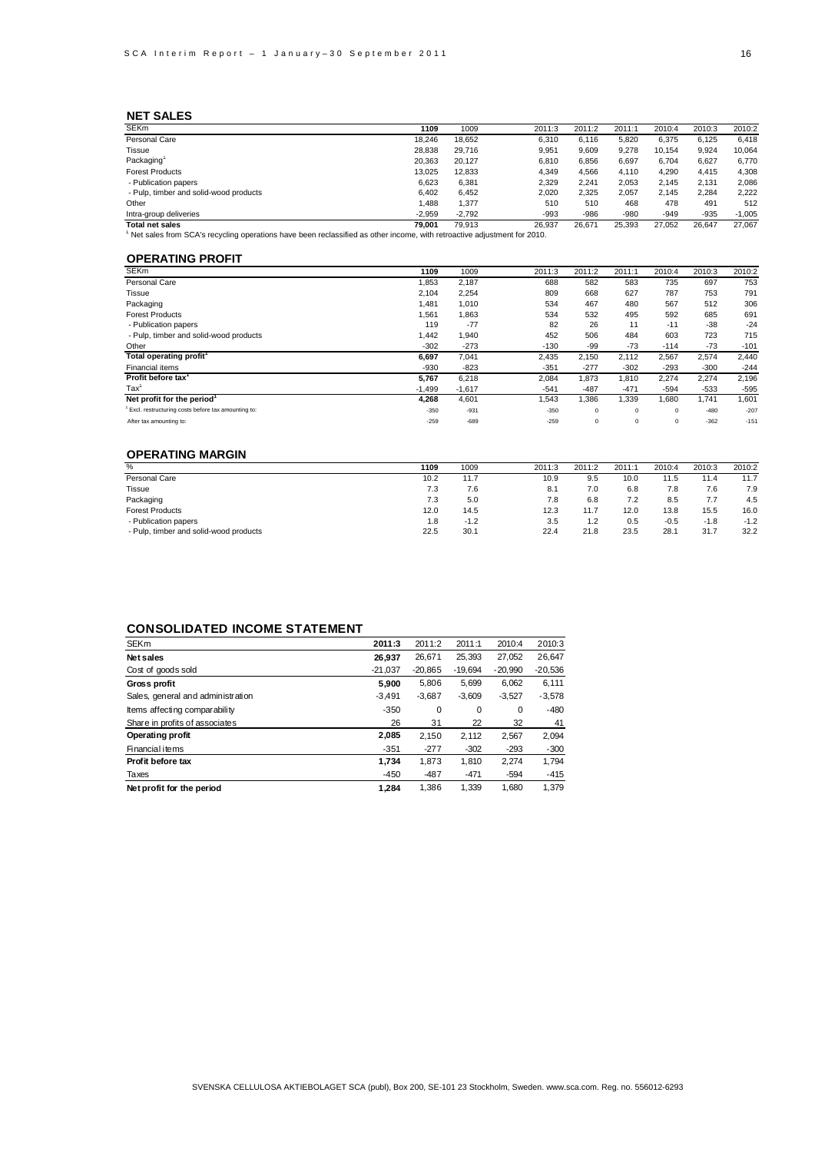## **NET SALES**

| <b>SEKm</b>                                                                                                             | 1109     | 1009     | 2011:3 | 2011:2 | 2011:1 | 2010:4 | 2010:3 | 2010:2   |
|-------------------------------------------------------------------------------------------------------------------------|----------|----------|--------|--------|--------|--------|--------|----------|
| Personal Care                                                                                                           | 18.246   | 18.652   | 6.310  | 6.116  | 5.820  | 6.375  | 6.125  | 6.418    |
| Tissue                                                                                                                  | 28,838   | 29.716   | 9,951  | 9,609  | 9,278  | 10.154 | 9,924  | 10.064   |
| Packaging <sup>1</sup>                                                                                                  | 20.363   | 20,127   | 6.810  | 6,856  | 6,697  | 6.704  | 6,627  | 6,770    |
| <b>Forest Products</b>                                                                                                  | 13.025   | 12.833   | 4.349  | 4.566  | 4.110  | 4,290  | 4.415  | 4,308    |
| - Publication papers                                                                                                    | 6.623    | 6,381    | 2,329  | 2,241  | 2,053  | 2.145  | 2.131  | 2,086    |
| - Pulp, timber and solid-wood products                                                                                  | 6.402    | 6,452    | 2,020  | 2.325  | 2,057  | 2.145  | 2.284  | 2.222    |
| Other                                                                                                                   | .488     | 1,377    | 510    | 510    | 468    | 478    | 491    | 512      |
| Intra-group deliveries                                                                                                  | $-2.959$ | $-2.792$ | -993   | $-986$ | $-980$ | $-949$ | $-935$ | $-1.005$ |
| <b>Total net sales</b>                                                                                                  | 79.001   | 79.913   | 26.937 | 26.671 | 25.393 | 27.052 | 26.647 | 27.067   |
| Net sales from SCA's recycling operations have been reclassified as other income, with retroactive adjustment for 2010. |          |          |        |        |        |        |        |          |

## **OPERATING PROFIT**

| <b>SEKm</b>                                        | 1109     | 1009     | 2011:3 | 2011:2     | 2011:1      | 2010:4   | 2010:3 | 2010:2 |
|----------------------------------------------------|----------|----------|--------|------------|-------------|----------|--------|--------|
| Personal Care                                      | 1,853    | 2,187    | 688    | 582        | 583         | 735      | 697    | 753    |
| Tissue                                             | 2,104    | 2,254    | 809    | 668        | 627         | 787      | 753    | 791    |
| Packaging                                          | 1.481    | 1,010    | 534    | 467        | 480         | 567      | 512    | 306    |
| <b>Forest Products</b>                             | 1,561    | 1,863    | 534    | 532        | 495         | 592      | 685    | 691    |
| - Publication papers                               | 119      | $-77$    | 82     | 26         | 11          | $-11$    | $-38$  | $-24$  |
| - Pulp, timber and solid-wood products             | 1,442    | 1,940    | 452    | 506        | 484         | 603      | 723    | 715    |
| Other                                              | $-302$   | $-273$   | $-130$ | -99        | $-73$       | $-114$   | $-73$  | $-101$ |
| Total operating profit <sup>1</sup>                | 6,697    | 7,041    | 2,435  | 2.150      | 2.112       | 2,567    | 2,574  | 2,440  |
| Financial items                                    | -930     | $-823$   | $-351$ | $-277$     | $-302$      | $-293$   | $-300$ | $-244$ |
| Profit before tax'                                 | 5.767    | 6,218    | 2,084  | 1.873      | 1.810       | 2,274    | 2,274  | 2,196  |
| $\text{Tax}^1$                                     | $-1,499$ | $-1,617$ | $-541$ | $-487$     | $-471$      | $-594$   | -533   | $-595$ |
| Net profit for the period                          | 4.268    | 4,601    | 1,543  | 1.386      | 1,339       | 0.680    | 1.741  | 1,601  |
| Excl. restructuring costs before tax amounting to: | $-350$   | $-931$   | $-350$ | $^{\circ}$ | $^{\circ}$  | $\Omega$ | $-480$ | $-207$ |
| After tax amounting to:                            | $-259$   | $-689$   | $-259$ | $^{\circ}$ | $\mathbf 0$ | $\Omega$ | $-362$ | $-151$ |
|                                                    |          |          |        |            |             |          |        |        |

## **OPERATING MARGIN**

| %                                      | 1109 | 1009   | 2011:3 | 2011:2 | 2011:1 | 2010:4 | 2010:3 | 2010:2 |
|----------------------------------------|------|--------|--------|--------|--------|--------|--------|--------|
| Personal Care                          | 10.2 | 11.7   | 10.9   | 9.5    | 10.0   | 11.5   | 11.4   | 11.7   |
| Tissue                                 | 7.3  | 7.6    | 8.1    | 7.0    | 6.8    | 7.8    | 7.6    | 7.9    |
| Packaging                              | 7.3  | 5.0    | 7.8    | 6.8    | 7.2    | 8.5    | 7.7    | 4.5    |
| <b>Forest Products</b>                 | 12.0 | 14.5   | 12.3   | 11.7   | 12.0   | 13.8   | 15.5   | 16.0   |
| - Publication papers                   | 1.8  | $-1.2$ | 3.5    | 1.2    | 0.5    | $-0.5$ | $-1.8$ | $-1.2$ |
| - Pulp, timber and solid-wood products | 22.5 | 30.1   | 22.4   | 21.8   | 23.5   | 28.1   | 31.7   | 32.2   |

## **CONSOLIDATED INCOME STATEMENT**

| <b>SEKm</b>                       | 2011:3    | 2011:2    | 2011:1    | 2010:4    | 2010:3    |
|-----------------------------------|-----------|-----------|-----------|-----------|-----------|
| Net sales                         | 26.937    | 26,671    | 25,393    | 27,052    | 26,647    |
| Cost of goods sold                | $-21.037$ | $-20.865$ | $-19.694$ | $-20.990$ | $-20.536$ |
| Gross profit                      | 5.900     | 5,806     | 5,699     | 6,062     | 6,111     |
| Sales, general and administration | $-3.491$  | $-3,687$  | $-3,609$  | $-3,527$  | $-3,578$  |
| Items affecting comparability     | $-350$    | 0         | 0         | 0         | $-480$    |
| Share in profits of associates    | 26        | 31        | 22        | 32        | 41        |
| Operating profit                  | 2,085     | 2.150     | 2.112     | 2,567     | 2,094     |
| Financial items                   | $-351$    | $-277$    | $-302$    | $-293$    | $-300$    |
| Profit before tax                 | 1.734     | 1.873     | 1.810     | 2.274     | 1.794     |
| Taxes                             | $-450$    | $-487$    | $-471$    | $-594$    | $-415$    |
| Net profit for the period         | 1.284     | 1.386     | 1.339     | 1.680     | 1.379     |